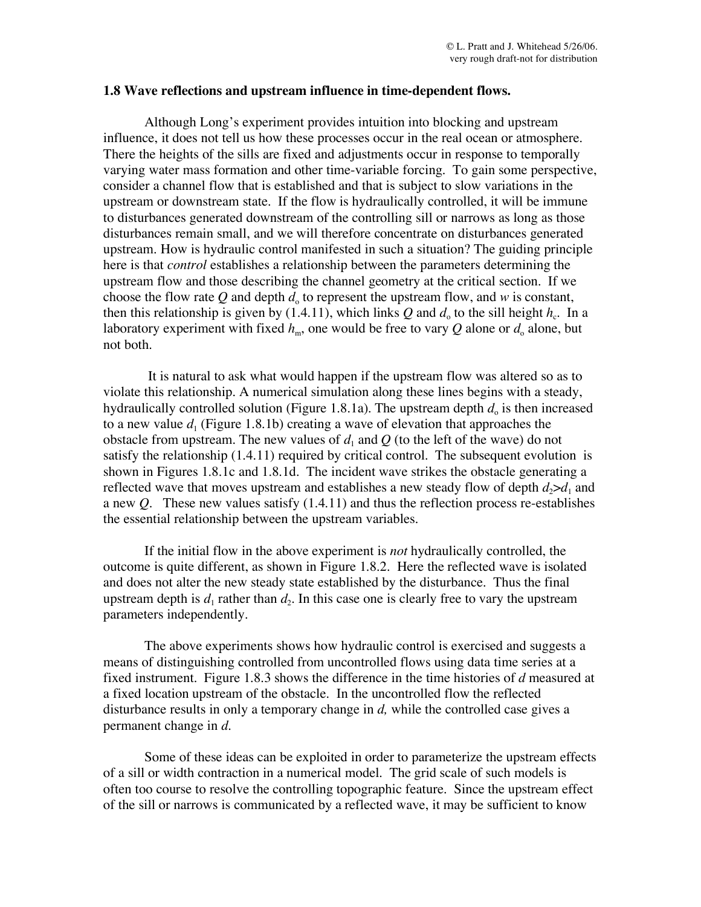## **1.8 Wave reflections and upstream influence in time-dependent flows.**

Although Long's experiment provides intuition into blocking and upstream influence, it does not tell us how these processes occur in the real ocean or atmosphere. There the heights of the sills are fixed and adjustments occur in response to temporally varying water mass formation and other time-variable forcing. To gain some perspective, consider a channel flow that is established and that is subject to slow variations in the upstream or downstream state. If the flow is hydraulically controlled, it will be immune to disturbances generated downstream of the controlling sill or narrows as long as those disturbances remain small, and we will therefore concentrate on disturbances generated upstream. How is hydraulic control manifested in such a situation? The guiding principle here is that *control* establishes a relationship between the parameters determining the upstream flow and those describing the channel geometry at the critical section. If we choose the flow rate Q and depth  $d_0$  to represent the upstream flow, and  $w$  is constant, then this relationship is given by (1.4.11), which links *Q* and  $d_0$  to the sill height  $h_c$ . In a laboratory experiment with fixed  $h_m$ , one would be free to vary Q alone or  $d_0$  alone, but not both.

It is natural to ask what would happen if the upstream flow was altered so as to violate this relationship. A numerical simulation along these lines begins with a steady, hydraulically controlled solution (Figure 1.8.1a). The upstream depth  $d_0$  is then increased to a new value  $d_1$  (Figure 1.8.1b) creating a wave of elevation that approaches the obstacle from upstream. The new values of  $d_1$  and  $Q$  (to the left of the wave) do not satisfy the relationship (1.4.11) required by critical control. The subsequent evolution is shown in Figures 1.8.1c and 1.8.1d. The incident wave strikes the obstacle generating a reflected wave that moves upstream and establishes a new steady flow of depth  $d_2>d_1$  and a new *Q.* These new values satisfy (1.4.11) and thus the reflection process re-establishes the essential relationship between the upstream variables.

If the initial flow in the above experiment is *not* hydraulically controlled, the outcome is quite different, as shown in Figure 1.8.2. Here the reflected wave is isolated and does not alter the new steady state established by the disturbance. Thus the final upstream depth is  $d_1$  rather than  $d_2$ . In this case one is clearly free to vary the upstream parameters independently.

The above experiments shows how hydraulic control is exercised and suggests a means of distinguishing controlled from uncontrolled flows using data time series at a fixed instrument. Figure 1.8.3 shows the difference in the time histories of *d* measured at a fixed location upstream of the obstacle. In the uncontrolled flow the reflected disturbance results in only a temporary change in *d,* while the controlled case gives a permanent change in *d.*

Some of these ideas can be exploited in order to parameterize the upstream effects of a sill or width contraction in a numerical model. The grid scale of such models is often too course to resolve the controlling topographic feature. Since the upstream effect of the sill or narrows is communicated by a reflected wave, it may be sufficient to know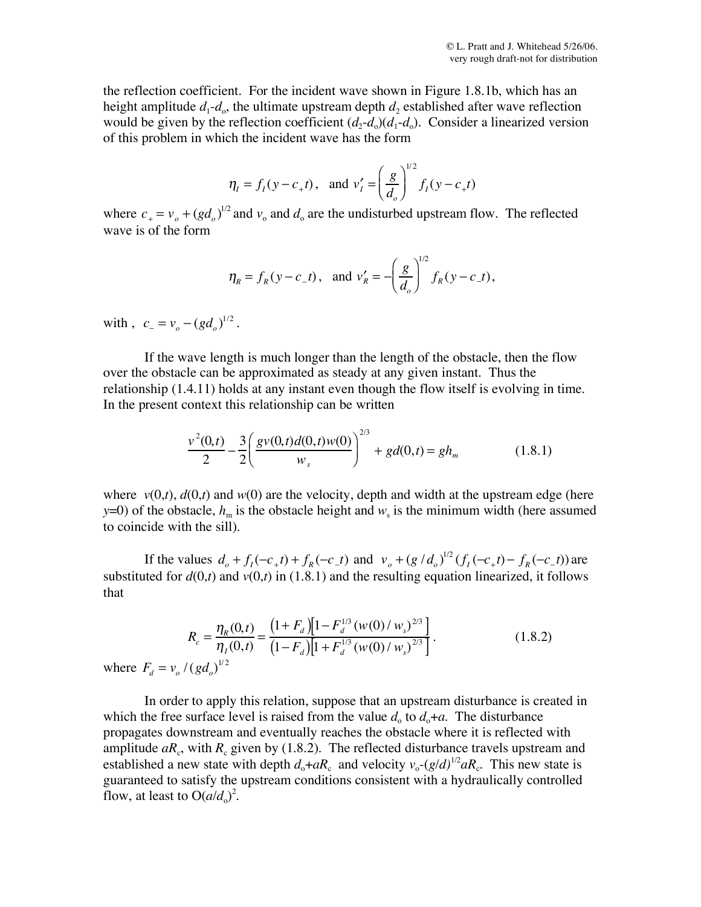the reflection coefficient. For the incident wave shown in Figure 1.8.1b, which has an height amplitude  $d_1 - d_0$ , the ultimate upstream depth  $d_2$  established after wave reflection would be given by the reflection coefficient  $(d_2-d_0)(d_1-d_0)$ . Consider a linearized version of this problem in which the incident wave has the form

$$
\eta_I = f_I(y - c_+ t)
$$
, and  $v'_I = \left(\frac{g}{d_o}\right)^{1/2} f_I(y - c_+ t)$ 

where  $c_+ = v_o + (gd_o)^{1/2}$  and  $v_o$  and  $d_o$  are the undisturbed upstream flow. The reflected wave is of the form

$$
\eta_R = f_R(y - c_- t)
$$
, and  $v'_R = -\left(\frac{g}{d_o}\right)^{1/2} f_R(y - c_- t)$ ,

with ,  $c_{-} = v_{o} - (gd_{o})^{1/2}$ .

If the wave length is much longer than the length of the obstacle, then the flow over the obstacle can be approximated as steady at any given instant. Thus the relationship (1.4.11) holds at any instant even though the flow itself is evolving in time. In the present context this relationship can be written

$$
\frac{v^2(0,t)}{2} - \frac{3}{2} \left( \frac{gv(0,t)d(0,t)w(0)}{w_s} \right)^{2/3} + gd(0,t) = gh_m \tag{1.8.1}
$$

where  $v(0,t)$ ,  $d(0,t)$  and  $w(0)$  are the velocity, depth and width at the upstream edge (here *y*=0) of the obstacle,  $h_m$  is the obstacle height and  $w_s$  is the minimum width (here assumed to coincide with the sill).

If the values  $d_o + f_I(-c_+t) + f_R(-c_-t)$  and  $v_o + (g/d_o)^{1/2} (f_I(-c_+t) - f_R(-c_-t))$  are substituted for  $d(0,t)$  and  $v(0,t)$  in (1.8.1) and the resulting equation linearized, it follows that

$$
R_c = \frac{\eta_R(0,t)}{\eta_I(0,t)} = \frac{\left(1 + F_d\right)\left[1 - F_d^{1/3}\left(w(0)/w_s\right)^{2/3}\right]}{\left(1 - F_d\right)\left[1 + F_d^{1/3}\left(w(0)/w_s\right)^{2/3}\right]}.
$$
\nwhere  $F_d = v_o / (gd_o)^{1/2}$ 

\n(1.8.2)

In order to apply this relation, suppose that an upstream disturbance is created in which the free surface level is raised from the value  $d_0$  to  $d_0 + a$ . The disturbance propagates downstream and eventually reaches the obstacle where it is reflected with amplitude  $aR_c$ , with  $R_c$  given by (1.8.2). The reflected disturbance travels upstream and established a new state with depth  $d_0 + aR_c$  and velocity  $v_0 - (g/d)^{1/2} aR_c$ . This new state is guaranteed to satisfy the upstream conditions consistent with a hydraulically controlled flow, at least to  $O(a/d_0)^2$ .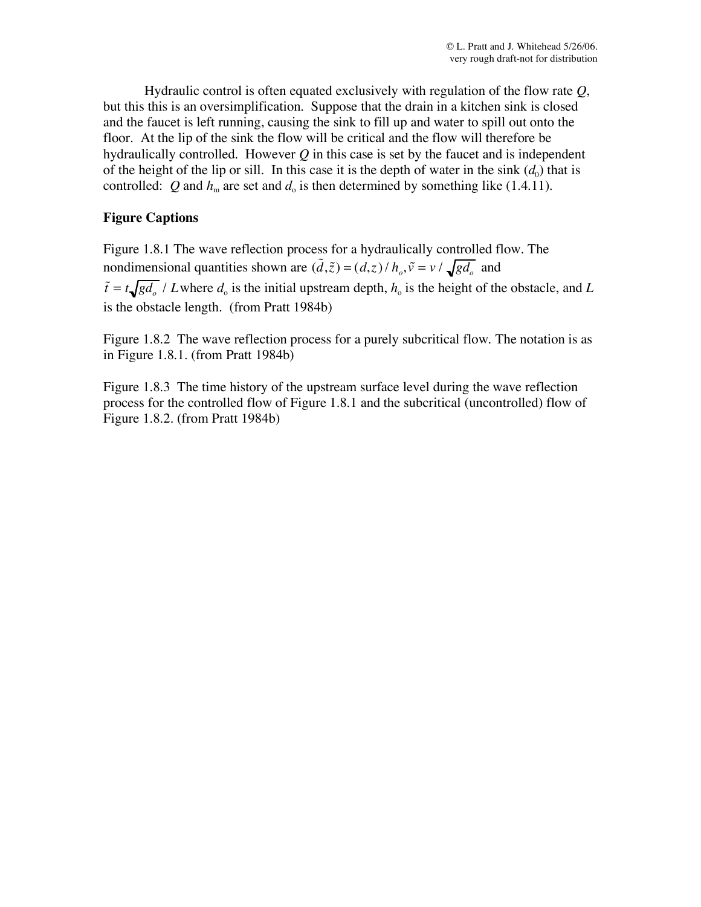Hydraulic control is often equated exclusively with regulation of the flow rate *Q*, but this this is an oversimplification. Suppose that the drain in a kitchen sink is closed and the faucet is left running, causing the sink to fill up and water to spill out onto the floor. At the lip of the sink the flow will be critical and the flow will therefore be hydraulically controlled. However *Q* in this case is set by the faucet and is independent of the height of the lip or sill. In this case it is the depth of water in the sink  $(d_0)$  that is controlled: Q and  $h_m$  are set and  $d_o$  is then determined by something like (1.4.11).

## **Figure Captions**

Figure 1.8.1 The wave reflection process for a hydraulically controlled flow. The nondimensional quantities shown are  $(\tilde{d}, \tilde{z}) = (d, z) / h_o$ ,  $\tilde{v} = v / \sqrt{gd_o}$  and  $\tilde{t} = t \sqrt{gd_o}/L$  where  $d_o$  is the initial upstream depth,  $h_o$  is the height of the obstacle, and *L* is the obstacle length. (from Pratt 1984b)

Figure 1.8.2 The wave reflection process for a purely subcritical flow. The notation is as in Figure 1.8.1. (from Pratt 1984b)

Figure 1.8.3 The time history of the upstream surface level during the wave reflection process for the controlled flow of Figure 1.8.1 and the subcritical (uncontrolled) flow of Figure 1.8.2. (from Pratt 1984b)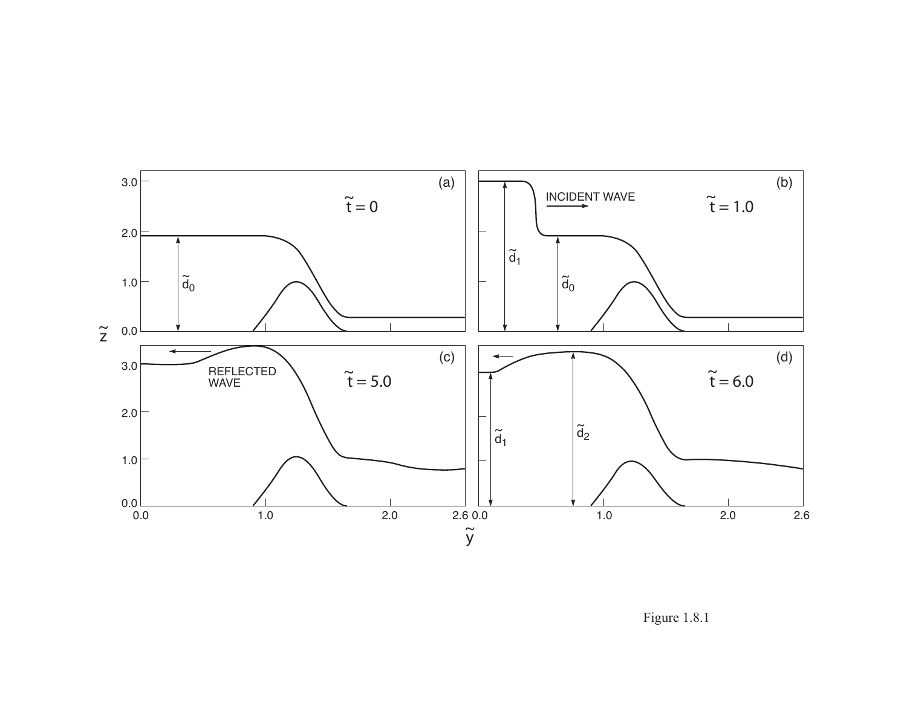

Figure 1.8.1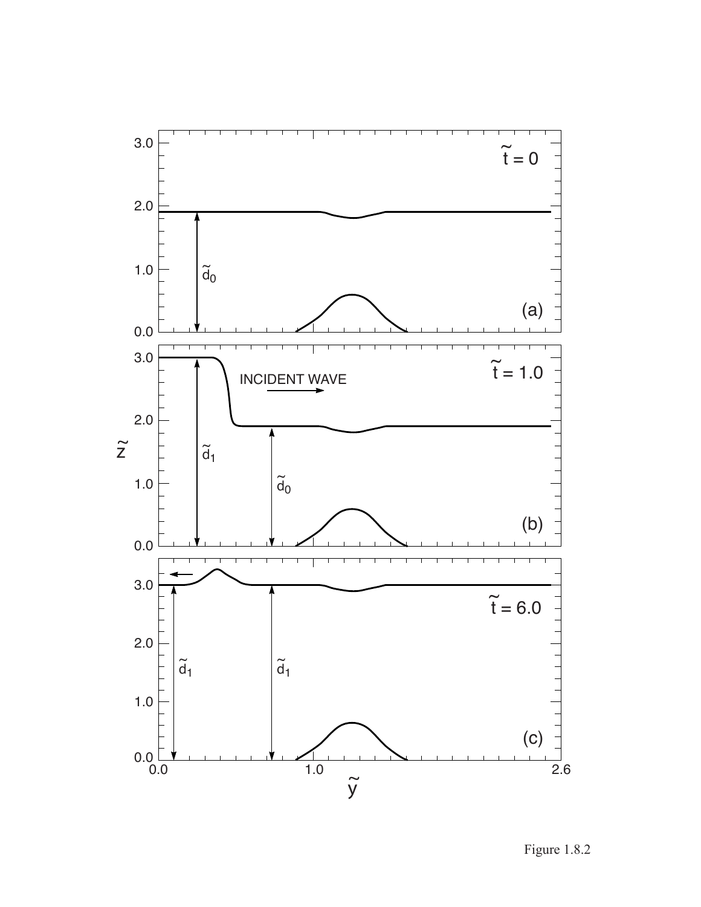

Figure 1.8.2